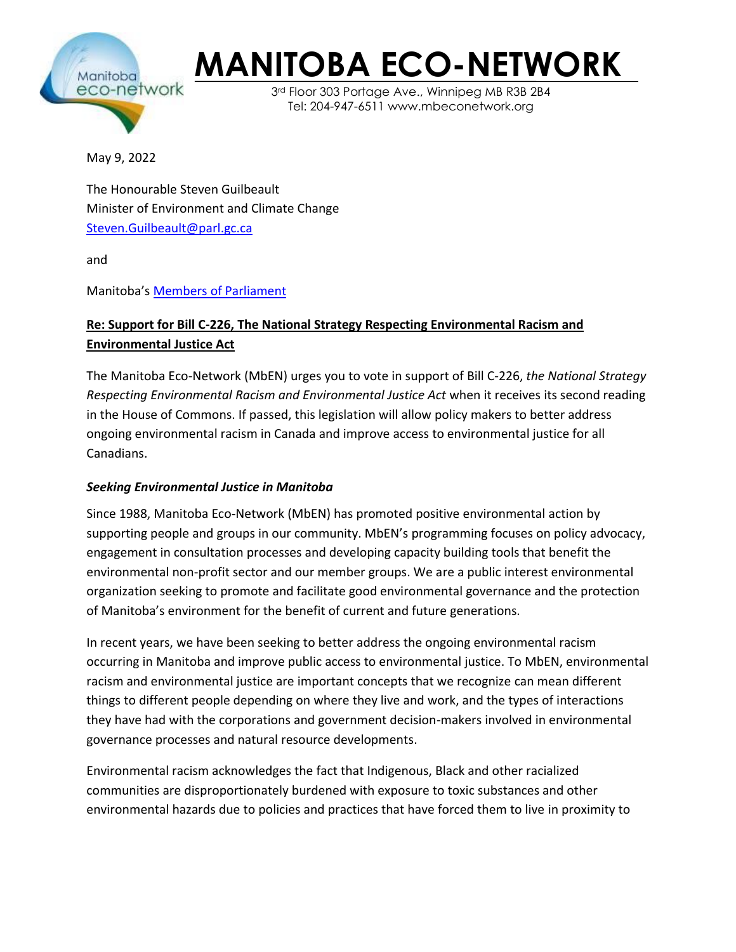

## **MANITOBA ECO-NETWORK**

3rd Floor 303 Portage Ave., Winnipeg MB R3B 2B4 Tel: 204-947-6511 www.mbeconetwork.org

May 9, 2022

The Honourable Steven Guilbeault Minister of Environment and Climate Change [Steven.Guilbeault@parl.gc.ca](mailto:Steven.Guilbeault@parl.gc.ca)

and

Manitoba's [Members of Parliament](https://www.ourcommons.ca/Members/en/search?province=MB)

## **Re: Support for Bill C-226, The National Strategy Respecting Environmental Racism and Environmental Justice Act**

The Manitoba Eco-Network (MbEN) urges you to vote in support of Bill C-226, *the National Strategy Respecting Environmental Racism and Environmental Justice Act* when it receives its second reading in the House of Commons. If passed, this legislation will allow policy makers to better address ongoing environmental racism in Canada and improve access to environmental justice for all Canadians.

## *Seeking Environmental Justice in Manitoba*

Since 1988, Manitoba Eco-Network (MbEN) has promoted positive environmental action by supporting people and groups in our community. MbEN's programming focuses on policy advocacy, engagement in consultation processes and developing capacity building tools that benefit the environmental non-profit sector and our member groups. We are a public interest environmental organization seeking to promote and facilitate good environmental governance and the protection of Manitoba's environment for the benefit of current and future generations.

In recent years, we have been seeking to better address the ongoing environmental racism occurring in Manitoba and improve public access to environmental justice. To MbEN, environmental racism and environmental justice are important concepts that we recognize can mean different things to different people depending on where they live and work, and the types of interactions they have had with the corporations and government decision-makers involved in environmental governance processes and natural resource developments.

Environmental racism acknowledges the fact that Indigenous, Black and other racialized communities are disproportionately burdened with exposure to toxic substances and other environmental hazards due to policies and practices that have forced them to live in proximity to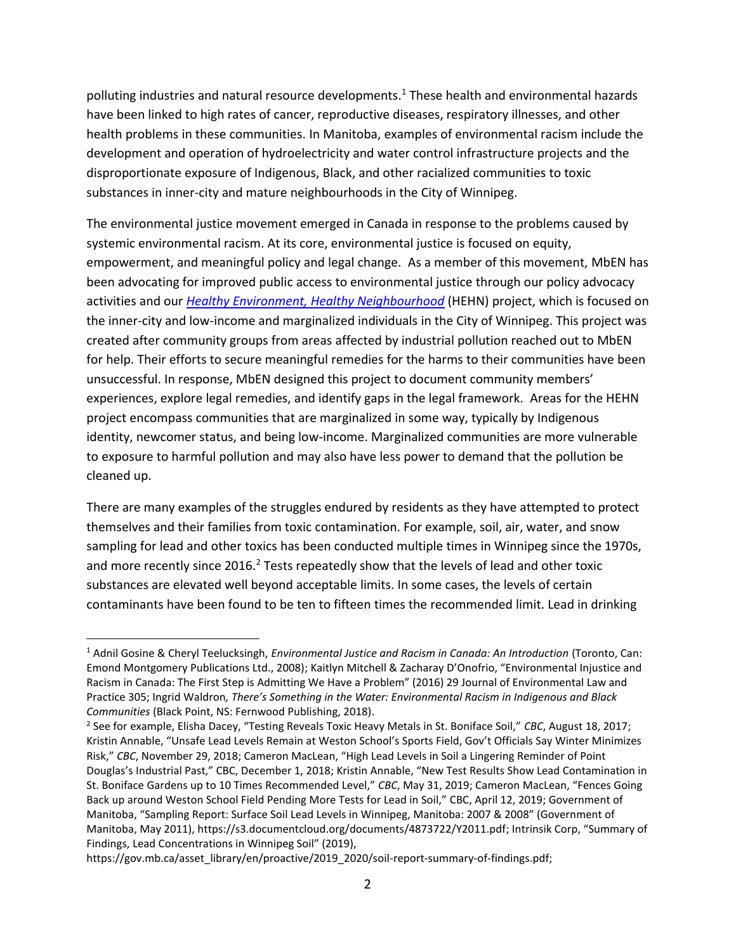polluting industries and natural resource developments.<sup>1</sup> These health and environmental hazards have been linked to high rates of cancer, reproductive diseases, respiratory illnesses, and other health problems in these communities. In Manitoba, examples of environmental racism include the development and operation of hydroelectricity and water control infrastructure projects and the disproportionate exposure of Indigenous, Black, and other racialized communities to toxic substances in inner-city and mature neighbourhoods in the City of Winnipeg.

The environmental justice movement emerged in Canada in response to the problems caused by systemic environmental racism. At its core, environmental justice is focused on equity, empowerment, and meaningful policy and legal change. As a member of this movement, MbEN has been advocating for improved public access to environmental justice through our policy advocacy activities and our *[Healthy Environment, Healthy Neighbourhood](https://mbeconetwork.org/projects/healthy-environment-healthy-neighbourhood/)* (HEHN) project, which is focused on the inner-city and low-income and marginalized individuals in the City of Winnipeg. This project was created after community groups from areas affected by industrial pollution reached out to MbEN for help. Their efforts to secure meaningful remedies for the harms to their communities have been unsuccessful. In response, MbEN designed this project to document community members' experiences, explore legal remedies, and identify gaps in the legal framework. Areas for the HEHN project encompass communities that are marginalized in some way, typically by Indigenous identity, newcomer status, and being low-income. Marginalized communities are more vulnerable to exposure to harmful pollution and may also have less power to demand that the pollution be cleaned up.

There are many examples of the struggles endured by residents as they have attempted to protect themselves and their families from toxic contamination. For example, soil, air, water, and snow sampling for lead and other toxics has been conducted multiple times in Winnipeg since the 1970s, and more recently since 2016.<sup>2</sup> Tests repeatedly show that the levels of lead and other toxic substances are elevated well beyond acceptable limits. In some cases, the levels of certain contaminants have been found to be ten to fifteen times the recommended limit. Lead in drinking

<sup>1</sup> Adnil Gosine & Cheryl Teelucksingh, *Environmental Justice and Racism in Canada: An Introduction* (Toronto, Can: Emond Montgomery Publications Ltd., 2008); Kaitlyn Mitchell & Zacharay D'Onofrio, "Environmental Injustice and Racism in Canada: The First Step is Admitting We Have a Problem" (2016) 29 Journal of Environmental Law and Practice 305; Ingrid Waldron*, There's Something in the Water: Environmental Racism in Indigenous and Black Communities* (Black Point, NS: Fernwood Publishing, 2018).

<sup>2</sup> See for example, Elisha Dacey, "Testing Reveals Toxic Heavy Metals in St. Boniface Soil," *CBC*, August 18, 2017; Kristin Annable, "Unsafe Lead Levels Remain at Weston School's Sports Field, Gov't Officials Say Winter Minimizes Risk," *CBC*, November 29, 2018; Cameron MacLean, "High Lead Levels in Soil a Lingering Reminder of Point Douglas's Industrial Past," CBC, December 1, 2018; Kristin Annable, "New Test Results Show Lead Contamination in St. Boniface Gardens up to 10 Times Recommended Level," *CBC*, May 31, 2019; Cameron MacLean, "Fences Going Back up around Weston School Field Pending More Tests for Lead in Soil," CBC, April 12, 2019; Government of Manitoba, "Sampling Report: Surface Soil Lead Levels in Winnipeg, Manitoba: 2007 & 2008" (Government of Manitoba, May 2011), https://s3.documentcloud.org/documents/4873722/Y2011.pdf; Intrinsik Corp, "Summary of Findings, Lead Concentrations in Winnipeg Soil" (2019),

https://gov.mb.ca/asset\_library/en/proactive/2019\_2020/soil-report-summary-of-findings.pdf;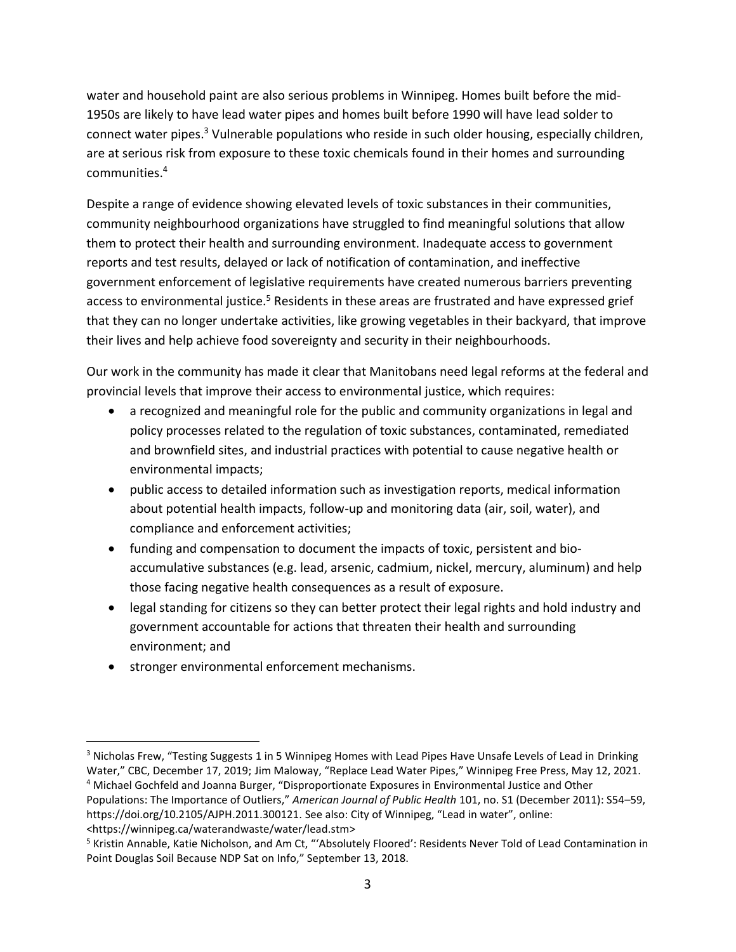water and household paint are also serious problems in Winnipeg. Homes built before the mid-1950s are likely to have lead water pipes and homes built before 1990 will have lead solder to connect water pipes.<sup>3</sup> Vulnerable populations who reside in such older housing, especially children, are at serious risk from exposure to these toxic chemicals found in their homes and surrounding communities.<sup>4</sup>

Despite a range of evidence showing elevated levels of toxic substances in their communities, community neighbourhood organizations have struggled to find meaningful solutions that allow them to protect their health and surrounding environment. Inadequate access to government reports and test results, delayed or lack of notification of contamination, and ineffective government enforcement of legislative requirements have created numerous barriers preventing access to environmental justice.<sup>5</sup> Residents in these areas are frustrated and have expressed grief that they can no longer undertake activities, like growing vegetables in their backyard, that improve their lives and help achieve food sovereignty and security in their neighbourhoods.

Our work in the community has made it clear that Manitobans need legal reforms at the federal and provincial levels that improve their access to environmental justice, which requires:

- a recognized and meaningful role for the public and community organizations in legal and policy processes related to the regulation of toxic substances, contaminated, remediated and brownfield sites, and industrial practices with potential to cause negative health or environmental impacts;
- public access to detailed information such as investigation reports, medical information about potential health impacts, follow-up and monitoring data (air, soil, water), and compliance and enforcement activities;
- funding and compensation to document the impacts of toxic, persistent and bioaccumulative substances (e.g. lead, arsenic, cadmium, nickel, mercury, aluminum) and help those facing negative health consequences as a result of exposure.
- legal standing for citizens so they can better protect their legal rights and hold industry and government accountable for actions that threaten their health and surrounding environment; and
- stronger environmental enforcement mechanisms.

<sup>&</sup>lt;sup>3</sup> Nicholas Frew, "Testing Suggests 1 in 5 Winnipeg Homes with Lead Pipes Have Unsafe Levels of Lead in Drinking Water," CBC, December 17, 2019; Jim Maloway, "Replace Lead Water Pipes," Winnipeg Free Press, May 12, 2021.

<sup>4</sup> Michael Gochfeld and Joanna Burger, "Disproportionate Exposures in Environmental Justice and Other Populations: The Importance of Outliers," *American Journal of Public Health* 101, no. S1 (December 2011): S54–59, https://doi.org/10.2105/AJPH.2011.300121. See also: City of Winnipeg, "Lead in water", online: <https://winnipeg.ca/waterandwaste/water/lead.stm>

<sup>5</sup> Kristin Annable, Katie Nicholson, and Am Ct, "'Absolutely Floored': Residents Never Told of Lead Contamination in Point Douglas Soil Because NDP Sat on Info," September 13, 2018.